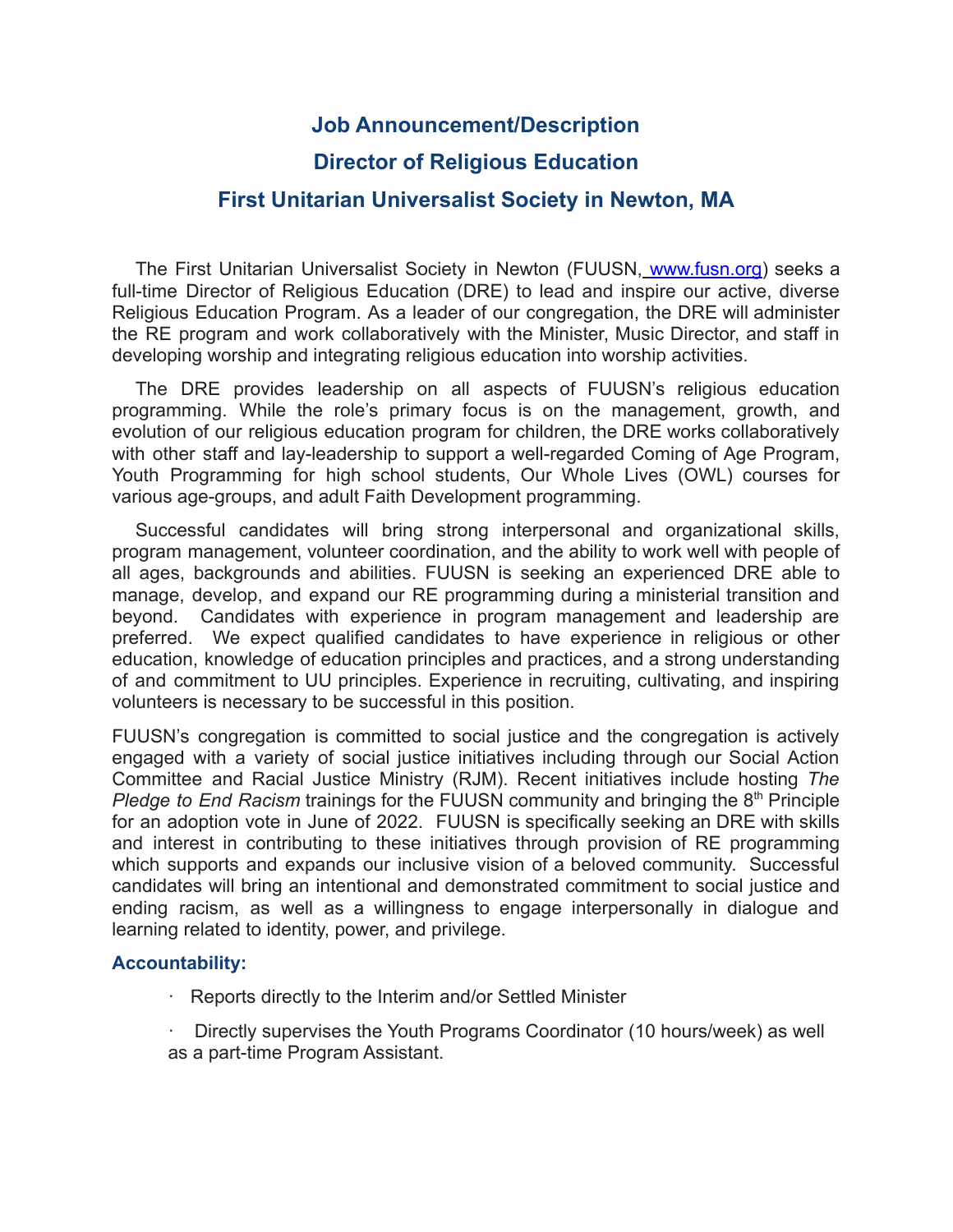## **Job Announcement/Description**

# **Director of Religious Education**

### **First Unitarian Universalist Society in Newton, MA**

The First Unitarian Universalist Society in Newton (FUUSN, [www.fusn.org\)](http://www.fusn.org) seeks a full-time Director of Religious Education (DRE) to lead and inspire our active, diverse Religious Education Program. As a leader of our congregation, the DRE will administer the RE program and work collaboratively with the Minister, Music Director, and staff in developing worship and integrating religious education into worship activities.

The DRE provides leadership on all aspects of FUUSN's religious education programming. While the role's primary focus is on the management, growth, and evolution of our religious education program for children, the DRE works collaboratively with other staff and lay-leadership to support a well-regarded Coming of Age Program, Youth Programming for high school students, Our Whole Lives (OWL) courses for various age-groups, and adult Faith Development programming.

Successful candidates will bring strong interpersonal and organizational skills, program management, volunteer coordination, and the ability to work well with people of all ages, backgrounds and abilities. FUUSN is seeking an experienced DRE able to manage, develop, and expand our RE programming during a ministerial transition and beyond. Candidates with experience in program management and leadership are preferred. We expect qualified candidates to have experience in religious or other education, knowledge of education principles and practices, and a strong understanding of and commitment to UU principles. Experience in recruiting, cultivating, and inspiring volunteers is necessary to be successful in this position.

FUUSN's congregation is committed to social justice and the congregation is actively engaged with a variety of social justice initiatives including through our Social Action Committee and Racial Justice Ministry (RJM). Recent initiatives include hosting *The* Pledge to End Racism trainings for the FUUSN community and bringing the 8<sup>th</sup> Principle for an adoption vote in June of 2022. FUUSN is specifically seeking an DRE with skills and interest in contributing to these initiatives through provision of RE programming which supports and expands our inclusive vision of a beloved community. Successful candidates will bring an intentional and demonstrated commitment to social justice and ending racism, as well as a willingness to engage interpersonally in dialogue and learning related to identity, power, and privilege.

#### **Accountability:**

- · Reports directly to the Interim and/or Settled Minister
- · Directly supervises the Youth Programs Coordinator (10 hours/week) as well as a part-time Program Assistant.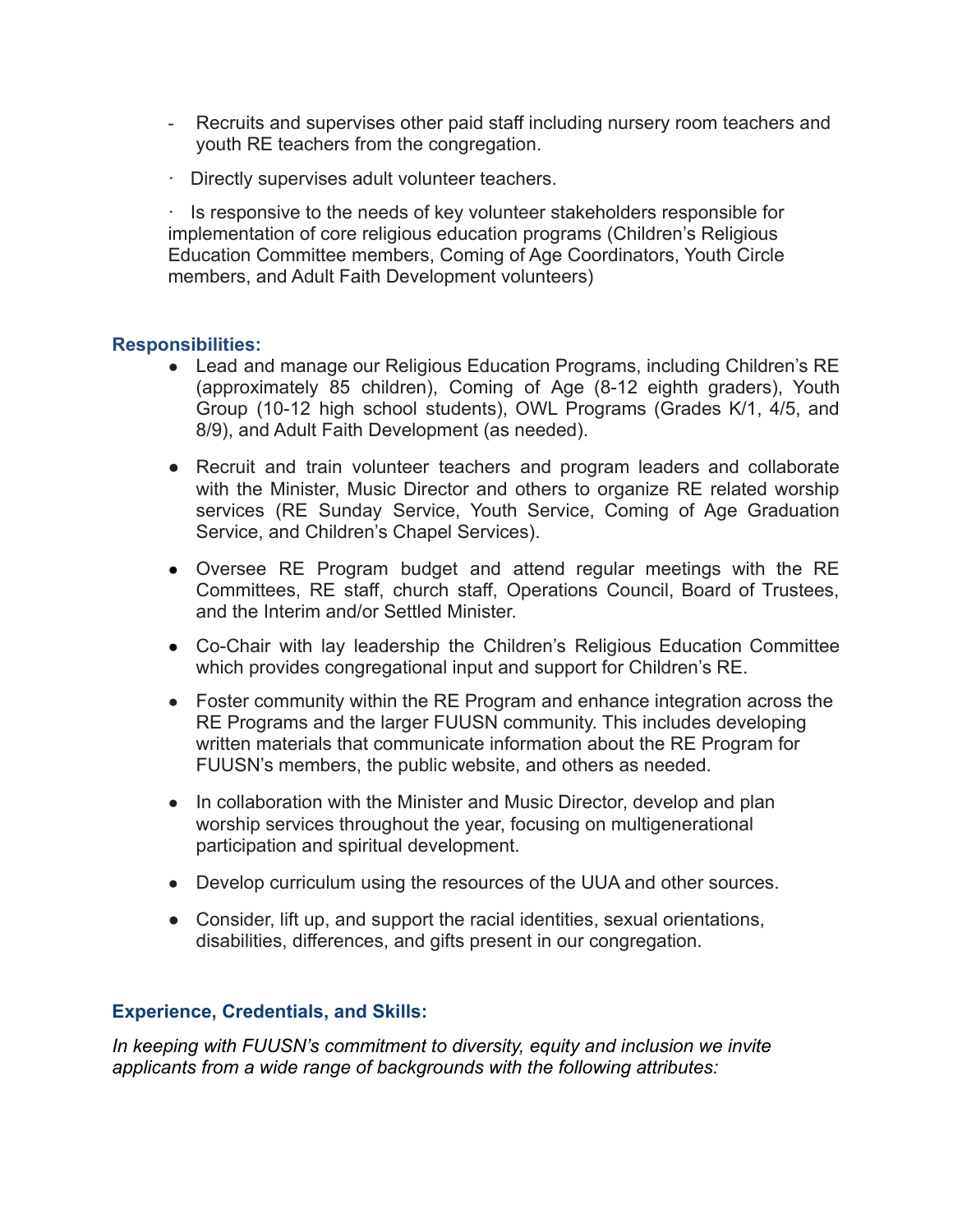- Recruits and supervises other paid staff including nursery room teachers and youth RE teachers from the congregation.
- · Directly supervises adult volunteer teachers.

· Is responsive to the needs of key volunteer stakeholders responsible for implementation of core religious education programs (Children's Religious Education Committee members, Coming of Age Coordinators, Youth Circle members, and Adult Faith Development volunteers)

#### **Responsibilities:**

- Lead and manage our Religious Education Programs, including Children's RE (approximately 85 children), Coming of Age (8-12 eighth graders), Youth Group (10-12 high school students), OWL Programs (Grades K/1, 4/5, and 8/9), and Adult Faith Development (as needed).
- Recruit and train volunteer teachers and program leaders and collaborate with the Minister, Music Director and others to organize RE related worship services (RE Sunday Service, Youth Service, Coming of Age Graduation Service, and Children's Chapel Services).
- Oversee RE Program budget and attend regular meetings with the RE Committees, RE staff, church staff, Operations Council, Board of Trustees, and the Interim and/or Settled Minister.
- Co-Chair with lay leadership the Children's Religious Education Committee which provides congregational input and support for Children's RE.
- Foster community within the RE Program and enhance integration across the RE Programs and the larger FUUSN community. This includes developing written materials that communicate information about the RE Program for FUUSN's members, the public website, and others as needed.
- In collaboration with the Minister and Music Director, develop and plan worship services throughout the year, focusing on multigenerational participation and spiritual development.
- Develop curriculum using the resources of the UUA and other sources.
- Consider, lift up, and support the racial identities, sexual orientations, disabilities, differences, and gifts present in our congregation.

#### **Experience, Credentials, and Skills:**

*In keeping with FUUSN's commitment to diversity, equity and inclusion we invite applicants from a wide range of backgrounds with the following attributes:*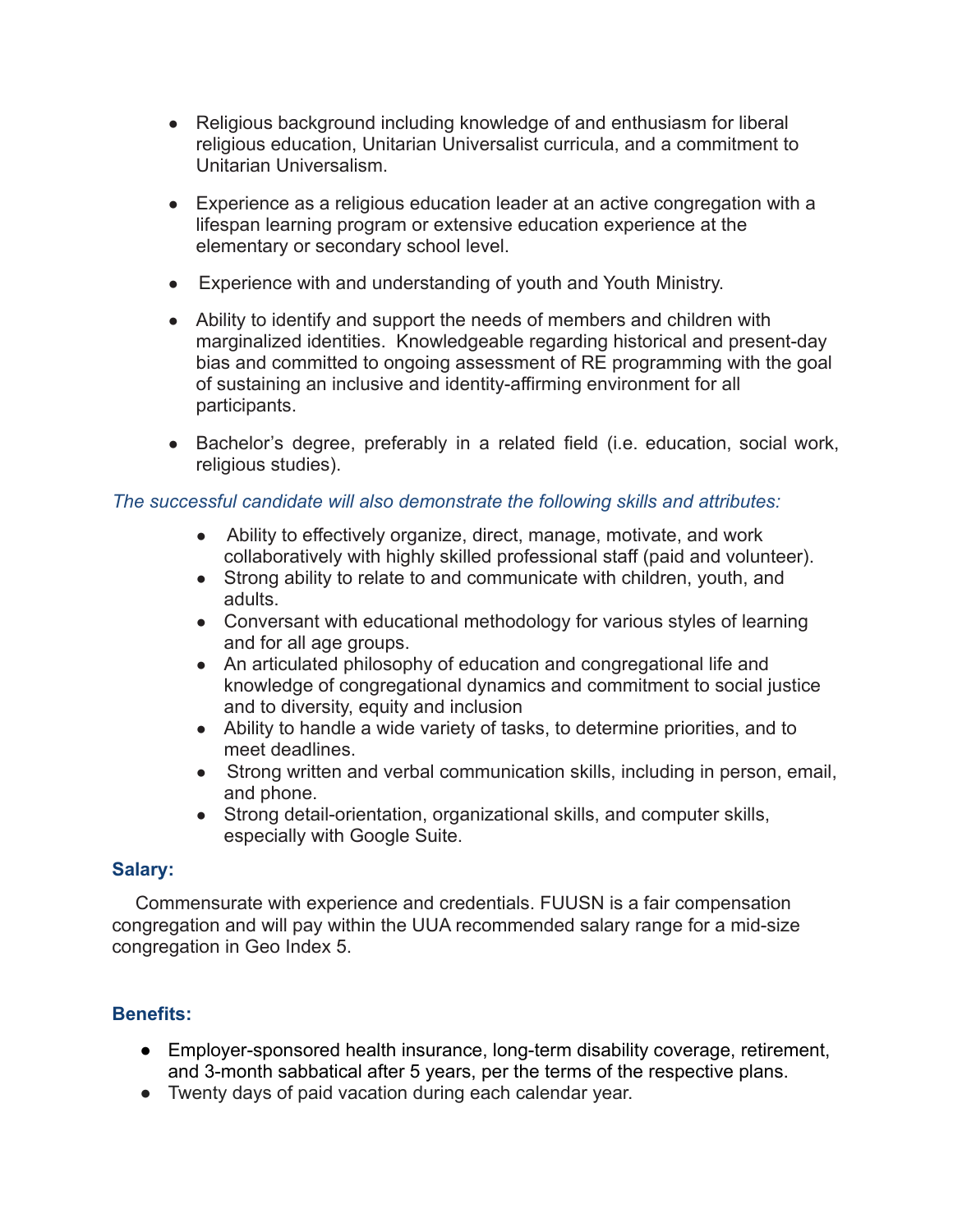- Religious background including knowledge of and enthusiasm for liberal religious education, Unitarian Universalist curricula, and a commitment to Unitarian Universalism.
- Experience as a religious education leader at an active congregation with a lifespan learning program or extensive education experience at the elementary or secondary school level.
- Experience with and understanding of youth and Youth Ministry.
- Ability to identify and support the needs of members and children with marginalized identities. Knowledgeable regarding historical and present-day bias and committed to ongoing assessment of RE programming with the goal of sustaining an inclusive and identity-affirming environment for all participants.
- Bachelor's degree, preferably in a related field (i.e. education, social work, religious studies).

#### *The successful candidate will also demonstrate the following skills and attributes:*

- Ability to effectively organize, direct, manage, motivate, and work collaboratively with highly skilled professional staff (paid and volunteer).
- Strong ability to relate to and communicate with children, youth, and adults.
- Conversant with educational methodology for various styles of learning and for all age groups.
- An articulated philosophy of education and congregational life and knowledge of congregational dynamics and commitment to social justice and to diversity, equity and inclusion
- Ability to handle a wide variety of tasks, to determine priorities, and to meet deadlines.
- Strong written and verbal communication skills, including in person, email, and phone.
- Strong detail-orientation, organizational skills, and computer skills, especially with Google Suite.

#### **Salary:**

Commensurate with experience and credentials. FUUSN is a fair compensation congregation and will pay within the UUA recommended salary range for a mid-size congregation in Geo Index 5.

### **Benefits:**

- Employer-sponsored health insurance, long-term disability coverage, retirement, and 3-month sabbatical after 5 years, per the terms of the respective plans.
- Twenty days of paid vacation during each calendar year.